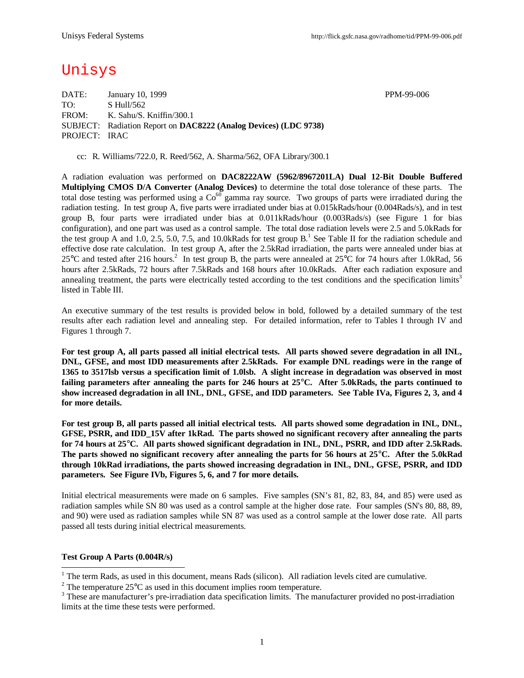# Unisys

DATE: January 10, 1999 PPM-99-006 TO: S Hull/562 FROM: K. Sahu/S. Kniffin/300.1 SUBJECT: Radiation Report on **DAC8222 (Analog Devices) (LDC 9738)** PROJECT: IRAC

cc: R. Williams/722.0, R. Reed/562, A. Sharma/562, OFA Library/300.1

A radiation evaluation was performed on **DAC8222AW (5962/8967201LA) Dual 12-Bit Double Buffered Multiplying CMOS D/A Converter (Analog Devices)** to determine the total dose tolerance of these parts. The total dose testing was performed using a  $Co<sup>60</sup>$  gamma ray source. Two groups of parts were irradiated during the radiation testing. In test group A, five parts were irradiated under bias at 0.015kRads/hour (0.004Rads/s), and in test group B, four parts were irradiated under bias at 0.011kRads/hour (0.003Rads/s) (see Figure 1 for bias configuration), and one part was used as a control sample. The total dose radiation levels were 2.5 and 5.0kRads for the test group A and 1.0, 2.5, 5.0, 7.5, and 10.0kRads for test group  $B<sup>1</sup>$ . See Table II for the radiation schedule and effective dose rate calculation. In test group A, after the 2.5kRad irradiation, the parts were annealed under bias at 25 °C and tested after 216 hours.<sup>2</sup> In test group B, the parts were annealed at 25 °C for 74 hours after 1.0kRad, 56 hours after 2.5kRads, 72 hours after 7.5kRads and 168 hours after 10.0kRads. After each radiation exposure and annealing treatment, the parts were electrically tested according to the test conditions and the specification limits<sup>3</sup> listed in Table III.

An executive summary of the test results is provided below in bold, followed by a detailed summary of the test results after each radiation level and annealing step. For detailed information, refer to Tables I through IV and Figures 1 through 7.

**For test group A, all parts passed all initial electrical tests. All parts showed severe degradation in all INL, DNL, GFSE, and most IDD measurements after 2.5kRads. For example DNL readings were in the range of 1365 to 3517lsb versus a specification limit of 1.0lsb. A slight increase in degradation was observed in most failing parameters after annealing the parts for 246 hours at 25°C. After 5.0kRads, the parts continued to show increased degradation in all INL, DNL, GFSE, and IDD parameters. See Table IVa, Figures 2, 3, and 4 for more details.**

**For test group B, all parts passed all initial electrical tests. All parts showed some degradation in INL, DNL, GFSE, PSRR, and IDD\_15V after 1kRad. The parts showed no significant recovery after annealing the parts for 74 hours at 25°C. All parts showed significant degradation in INL, DNL, PSRR, and IDD after 2.5kRads. The parts showed no significant recovery after annealing the parts for 56 hours at 25°C. After the 5.0kRad through 10kRad irradiations, the parts showed increasing degradation in INL, DNL, GFSE, PSRR, and IDD parameters. See Figure IVb, Figures 5, 6, and 7 for more details.**

Initial electrical measurements were made on 6 samples. Five samples (SN's 81, 82, 83, 84, and 85) were used as radiation samples while SN 80 was used as a control sample at the higher dose rate. Four samples (SN's 80, 88, 89, and 90) were used as radiation samples while SN 87 was used as a control sample at the lower dose rate. All parts passed all tests during initial electrical measurements.

### **Test Group A Parts (0.004R/s)**

l

 $1$  The term Rads, as used in this document, means Rads (silicon). All radiation levels cited are cumulative.

<sup>&</sup>lt;sup>2</sup> The temperature  $25^{\circ}$ C as used in this document implies room temperature.

 $3$  These are manufacturer's pre-irradiation data specification limits. The manufacturer provided no post-irradiation limits at the time these tests were performed.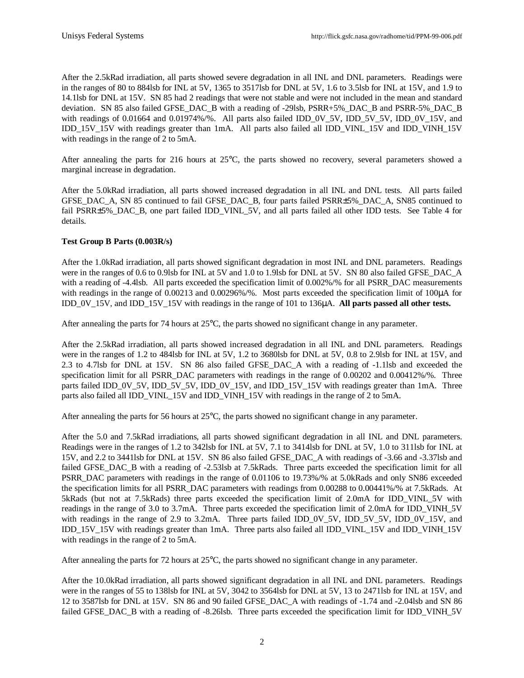After the 2.5kRad irradiation, all parts showed severe degradation in all INL and DNL parameters. Readings were in the ranges of 80 to 884lsb for INL at 5V, 1365 to 3517lsb for DNL at 5V, 1.6 to 3.5lsb for INL at 15V, and 1.9 to 14.1lsb for DNL at 15V. SN 85 had 2 readings that were not stable and were not included in the mean and standard deviation. SN 85 also failed GFSE\_DAC\_B with a reading of -29lsb, PSRR+5%\_DAC\_B and PSRR-5%\_DAC\_B with readings of 0.01664 and 0.01974%/%. All parts also failed IDD\_0V\_5V, IDD\_5V\_5V, IDD\_0V\_15V, and IDD\_15V\_15V with readings greater than 1mA. All parts also failed all IDD\_VINL\_15V and IDD\_VINH\_15V with readings in the range of 2 to 5mA.

After annealing the parts for 216 hours at 25°C, the parts showed no recovery, several parameters showed a marginal increase in degradation.

After the 5.0kRad irradiation, all parts showed increased degradation in all INL and DNL tests. All parts failed GFSE\_DAC\_A, SN 85 continued to fail GFSE\_DAC\_B, four parts failed PSRR±5%\_DAC\_A, SN85 continued to fail PSRR±5%\_DAC\_B, one part failed IDD\_VINL\_5V, and all parts failed all other IDD tests. See Table 4 for details.

## **Test Group B Parts (0.003R/s)**

After the 1.0kRad irradiation, all parts showed significant degradation in most INL and DNL parameters. Readings were in the ranges of 0.6 to 0.9lsb for INL at 5V and 1.0 to 1.9lsb for DNL at 5V. SN 80 also failed GFSE\_DAC\_A with a reading of -4.4lsb. All parts exceeded the specification limit of 0.002%/% for all PSRR\_DAC measurements with readings in the range of 0.00213 and 0.00296%/%. Most parts exceeded the specification limit of 100μA for IDD\_0V\_15V, and IDD\_15V\_15V with readings in the range of 101 to 136μA. **All parts passed all other tests.**

After annealing the parts for 74 hours at 25°C, the parts showed no significant change in any parameter.

After the 2.5kRad irradiation, all parts showed increased degradation in all INL and DNL parameters. Readings were in the ranges of 1.2 to 484lsb for INL at 5V, 1.2 to 3680lsb for DNL at 5V, 0.8 to 2.9lsb for INL at 15V, and 2.3 to 4.7lsb for DNL at 15V. SN 86 also failed GFSE\_DAC\_A with a reading of -1.1lsb and exceeded the specification limit for all PSRR\_DAC parameters with readings in the range of 0.00202 and 0.00412%/%. Three parts failed IDD\_0V\_5V, IDD\_5V\_5V, IDD\_0V\_15V, and IDD\_15V\_15V with readings greater than 1mA. Three parts also failed all IDD\_VINL\_15V and IDD\_VINH\_15V with readings in the range of 2 to 5mA.

After annealing the parts for 56 hours at 25°C, the parts showed no significant change in any parameter.

After the 5.0 and 7.5kRad irradiations, all parts showed significant degradation in all INL and DNL parameters. Readings were in the ranges of 1.2 to 342lsb for INL at 5V, 7.1 to 3414lsb for DNL at 5V, 1.0 to 311lsb for INL at 15V, and 2.2 to 3441lsb for DNL at 15V. SN 86 also failed GFSE\_DAC\_A with readings of -3.66 and -3.37lsb and failed GFSE\_DAC\_B with a reading of -2.53lsb at 7.5kRads. Three parts exceeded the specification limit for all PSRR\_DAC parameters with readings in the range of 0.01106 to 19.73%/% at 5.0kRads and only SN86 exceeded the specification limits for all PSRR\_DAC parameters with readings from 0.00288 to 0.00441%/% at 7.5kRads. At 5kRads (but not at 7.5kRads) three parts exceeded the specification limit of 2.0mA for IDD\_VINL\_5V with readings in the range of 3.0 to 3.7mA. Three parts exceeded the specification limit of 2.0mA for IDD\_VINH\_5V with readings in the range of 2.9 to 3.2mA. Three parts failed IDD\_0V\_5V, IDD\_5V\_5V, IDD\_0V\_15V, and IDD\_15V\_15V with readings greater than 1mA. Three parts also failed all IDD\_VINL\_15V and IDD\_VINH\_15V with readings in the range of 2 to 5mA.

After annealing the parts for 72 hours at 25°C, the parts showed no significant change in any parameter.

After the 10.0kRad irradiation, all parts showed significant degradation in all INL and DNL parameters. Readings were in the ranges of 55 to 138lsb for INL at 5V, 3042 to 3564lsb for DNL at 5V, 13 to 2471lsb for INL at 15V, and 12 to 3587lsb for DNL at 15V. SN 86 and 90 failed GFSE\_DAC\_A with readings of -1.74 and -2.04lsb and SN 86 failed GFSE\_DAC\_B with a reading of -8.26lsb. Three parts exceeded the specification limit for IDD\_VINH\_5V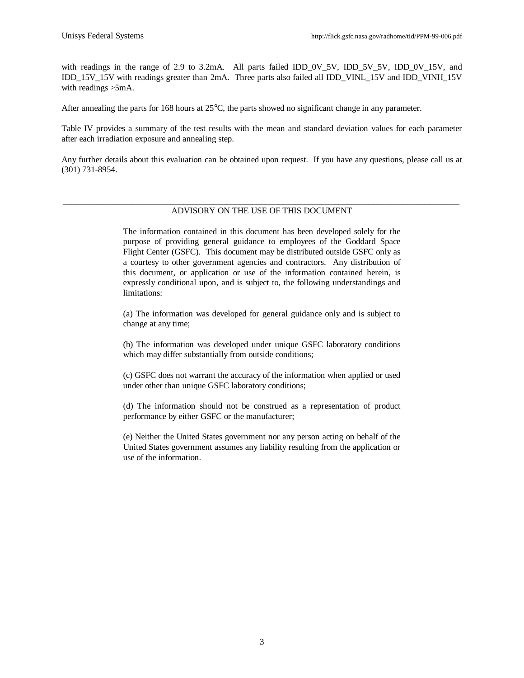with readings in the range of 2.9 to 3.2mA. All parts failed IDD 0V 5V, IDD 5V 5V, IDD 0V 15V, and IDD\_15V\_15V with readings greater than 2mA. Three parts also failed all IDD\_VINL\_15V and IDD\_VINH\_15V with readings >5mA.

After annealing the parts for 168 hours at 25°C, the parts showed no significant change in any parameter.

Table IV provides a summary of the test results with the mean and standard deviation values for each parameter after each irradiation exposure and annealing step.

Any further details about this evaluation can be obtained upon request. If you have any questions, please call us at (301) 731-8954.

### \_\_\_\_\_\_\_\_\_\_\_\_\_\_\_\_\_\_\_\_\_\_\_\_\_\_\_\_\_\_\_\_\_\_\_\_\_\_\_\_\_\_\_\_\_\_\_\_\_\_\_\_\_\_\_\_\_\_\_\_\_\_\_\_\_\_\_\_\_\_\_\_\_\_\_\_\_\_\_\_\_\_\_\_\_\_\_\_\_\_\_\_ ADVISORY ON THE USE OF THIS DOCUMENT

The information contained in this document has been developed solely for the purpose of providing general guidance to employees of the Goddard Space Flight Center (GSFC). This document may be distributed outside GSFC only as a courtesy to other government agencies and contractors. Any distribution of this document, or application or use of the information contained herein, is expressly conditional upon, and is subject to, the following understandings and limitations:

(a) The information was developed for general guidance only and is subject to change at any time;

(b) The information was developed under unique GSFC laboratory conditions which may differ substantially from outside conditions;

(c) GSFC does not warrant the accuracy of the information when applied or used under other than unique GSFC laboratory conditions;

(d) The information should not be construed as a representation of product performance by either GSFC or the manufacturer;

(e) Neither the United States government nor any person acting on behalf of the United States government assumes any liability resulting from the application or use of the information.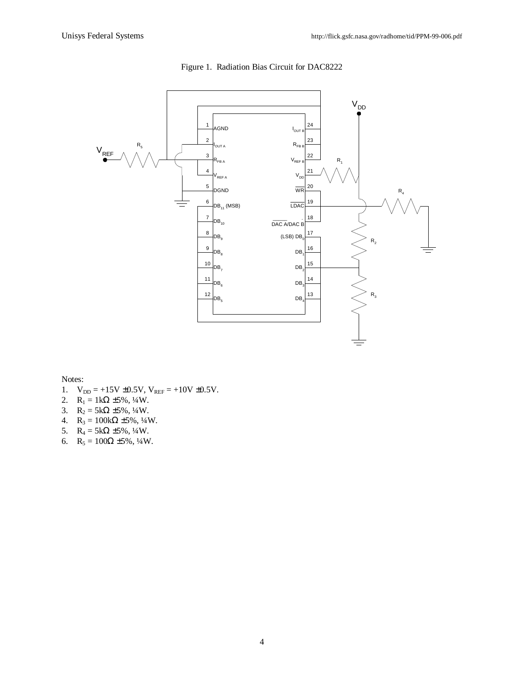

### Figure 1. Radiation Bias Circuit for DAC8222

Notes:

- 1.  $V_{DD} = +15V \pm 0.5V$ ,  $V_{REF} = +10V \pm 0.5V$ .
- 2.  $R_1 = 1k\Omega \pm 5\%, \frac{1}{4}W$ .
- 3.  $R_2 = 5k\Omega \pm 5\%, \frac{1}{4}W$ .
- 4.  $R_3 = 100k\Omega \pm 5\%, \frac{1}{4}W$ .
- 5.  $R_4 = 5k\Omega \pm 5\%, \frac{1}{4}W$ .
- 6.  $R_5 = 100\Omega \pm 5\%, \frac{1}{4}W$ .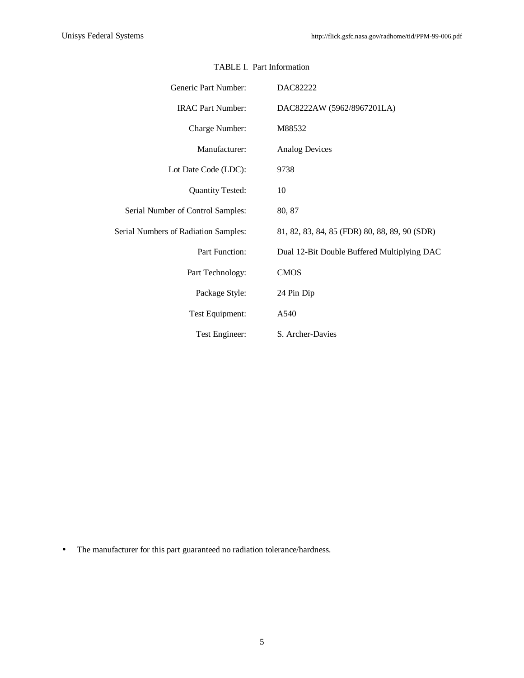| Generic Part Number:                 | DAC82222                                      |
|--------------------------------------|-----------------------------------------------|
| <b>IRAC Part Number:</b>             | DAC8222AW (5962/8967201LA)                    |
| Charge Number:                       | M88532                                        |
| Manufacturer:                        | <b>Analog Devices</b>                         |
| Lot Date Code (LDC):                 | 9738                                          |
| <b>Quantity Tested:</b>              | 10                                            |
| Serial Number of Control Samples:    | 80, 87                                        |
| Serial Numbers of Radiation Samples: | 81, 82, 83, 84, 85 (FDR) 80, 88, 89, 90 (SDR) |
| Part Function:                       | Dual 12-Bit Double Buffered Multiplying DAC   |
| Part Technology:                     | <b>CMOS</b>                                   |
| Package Style:                       | 24 Pin Dip                                    |
| Test Equipment:                      | A540                                          |
| Test Engineer:                       | S. Archer-Davies                              |

# TABLE I. Part Information

• The manufacturer for this part guaranteed no radiation tolerance/hardness.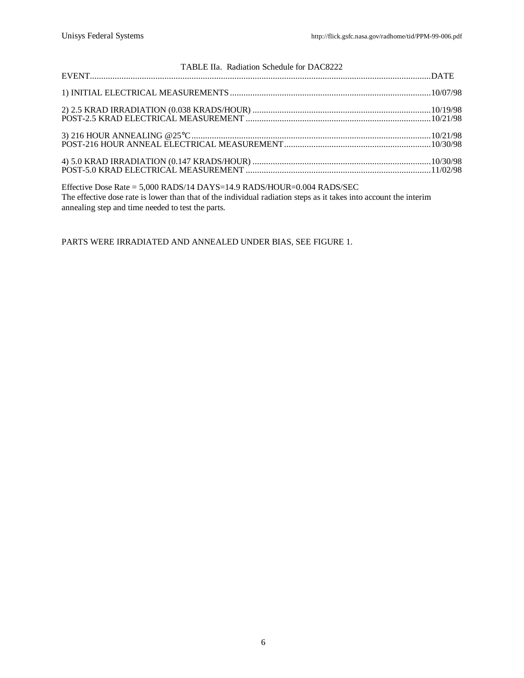| TABLE IIa. Radiation Schedule for DAC8222                                |  |
|--------------------------------------------------------------------------|--|
|                                                                          |  |
|                                                                          |  |
|                                                                          |  |
|                                                                          |  |
| Effective Dose Rate = $5,000$ RADS/14 DAYS=14.9 RADS/HOUR=0.004 RADS/SEC |  |

The effective dose rate is lower than that of the individual radiation steps as it takes into account the interim annealing step and time needed to test the parts.

PARTS WERE IRRADIATED AND ANNEALED UNDER BIAS, SEE FIGURE 1.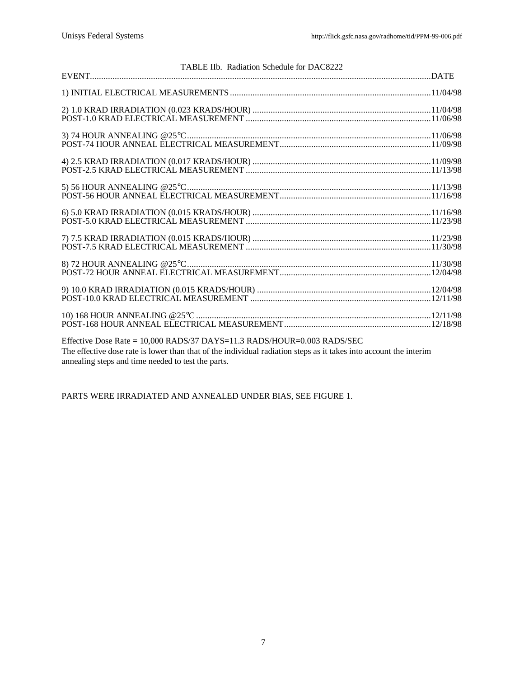| TABLE IIb. Radiation Schedule for DAC8222                                                                                                                                                            |  |
|------------------------------------------------------------------------------------------------------------------------------------------------------------------------------------------------------|--|
|                                                                                                                                                                                                      |  |
|                                                                                                                                                                                                      |  |
|                                                                                                                                                                                                      |  |
|                                                                                                                                                                                                      |  |
|                                                                                                                                                                                                      |  |
|                                                                                                                                                                                                      |  |
|                                                                                                                                                                                                      |  |
|                                                                                                                                                                                                      |  |
|                                                                                                                                                                                                      |  |
|                                                                                                                                                                                                      |  |
| Effective Dose Rate = $10,000$ RADS/37 DAYS= $11.3$ RADS/HOUR= $0.003$ RADS/SEC<br>The effective dose rate is lower than that of the individual radiation steps as it takes into account the interim |  |

annealing steps and time needed to test the parts.

PARTS WERE IRRADIATED AND ANNEALED UNDER BIAS, SEE FIGURE 1.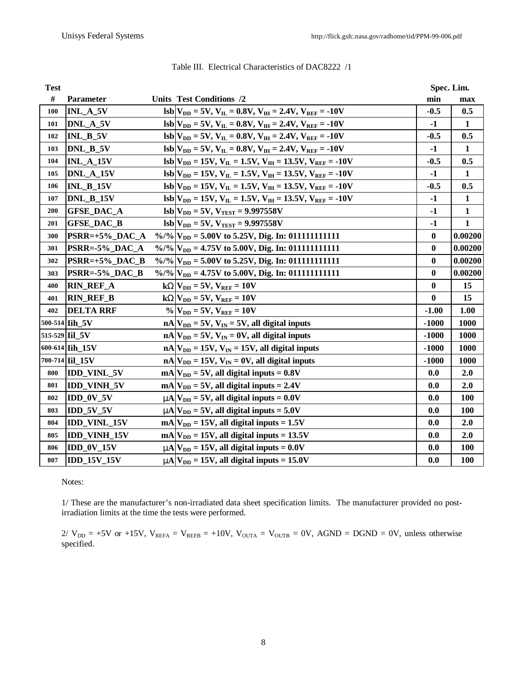| <b>Test</b> |                     |                                                                                                    | Spec. Lim.       |              |
|-------------|---------------------|----------------------------------------------------------------------------------------------------|------------------|--------------|
| #           | <b>Parameter</b>    | <b>Units Test Conditions /2</b>                                                                    | min              | max          |
| 100         | INL_A_5V            | $\text{lsb} V_{\text{DD}} = 5V, V_{\text{IL}} = 0.8V, V_{\text{IH}} = 2.4V, V_{\text{REF}} = -10V$ | $-0.5$           | 0.5          |
| 101         | DNL A 5V            | $\text{lsb} V_{DD} = 5V, V_{IL} = 0.8V, V_{IH} = 2.4V, V_{REF} = -10V$                             | $-1$             | $\mathbf{1}$ |
| 102         | $INL_B_5V$          | $\text{lsb} V_{\text{DD}} = 5V, V_{\text{IL}} = 0.8V, V_{\text{IH}} = 2.4V, V_{\text{REF}} = -10V$ | $-0.5$           | 0.5          |
| 103         | DNL_B_5V            | $\text{lsb} V_{DD} = 5V, V_{IL} = 0.8V, V_{IH} = 2.4V, V_{REF} = -10V$                             | $-1$             | $\mathbf{1}$ |
| 104         | <b>INL_A_15V</b>    | $\text{lsb} V_{DD} = 15V, V_{IL} = 1.5V, V_{IH} = 13.5V, V_{REF} = -10V$                           | $-0.5$           | 0.5          |
| 105         | DNL_A_15V           | $\text{lsb} V_{DD} = 15V, V_{IL} = 1.5V, V_{IH} = 13.5V, V_{REF} = -10V$                           | $-1$             | $\mathbf{1}$ |
| 106         | <b>INL B 15V</b>    | $\text{lsb} V_{DD} = 15V, V_{IL} = 1.5V, V_{IH} = 13.5V, V_{REF} = -10V$                           | $-0.5$           | 0.5          |
| 107         | DNL_B_15V           | $\text{lsb} V_{DD} = 15V, V_{IL} = 1.5V, V_{IH} = 13.5V, V_{REF} = -10V$                           | $-1$             | $\mathbf{1}$ |
| 200         | <b>GFSE_DAC_A</b>   | $\text{lsb} V_{\text{DD}} = 5V, V_{\text{TEST}} = 9.997558V$                                       | $-1$             | $\mathbf{1}$ |
| 201         | <b>GFSE DAC B</b>   | $lsb V_{DD} = 5V, V_{TEST} = 9.997558V$                                                            | -1               | 1            |
| 300         | PSRR=+5% DAC A      |                                                                                                    | $\bf{0}$         | 0.00200      |
| 301         | PSRR=-5%_DAC_A      |                                                                                                    | $\bf{0}$         | 0.00200      |
| 302         | $PSRR=+5\%$ DAC B   |                                                                                                    | $\bf{0}$         | 0.00200      |
| 303         | PSRR=-5%_DAC_B      |                                                                                                    | $\bf{0}$         | 0.00200      |
| 400         | <b>RIN_REF_A</b>    | $kWV_{DD} = 5V, V_{REF} = 10V$                                                                     | $\boldsymbol{0}$ | 15           |
| 401         | <b>RIN_REF_B</b>    | $kWV_{DD} = 5V, V_{REF} = 10V$                                                                     | $\bf{0}$         | 15           |
| 402         | <b>DELTA RRF</b>    | $\%$ $V_{DD} = 5V$ , $V_{REF} = 10V$                                                               | $-1.00$          | 1.00         |
|             | 500-514 Iih 5V      | $nA V_{DD} = 5V$ , $V_{IN} = 5V$ , all digital inputs                                              | $-1000$          | 1000         |
|             | 515-529 Iil 5V      | $nA V_{DD} = 5V$ , $V_{IN} = 0V$ , all digital inputs                                              | $-1000$          | 1000         |
|             | 600-614 Iih 15V     | $nA V_{DD} = 15V$ , $V_{IN} = 15V$ , all digital inputs                                            | $-1000$          | 1000         |
|             | 700-714 Iil 15V     | $nA V_{DD} = 15V$ , $V_{IN} = 0V$ , all digital inputs                                             | $-1000$          | 1000         |
| 800         | <b>IDD_VINL_5V</b>  | $mA V_{DD} = 5V$ , all digital inputs = 0.8V                                                       | 0.0              | 2.0          |
| 801         | <b>IDD_VINH_5V</b>  | $mA V_{DD} = 5V$ , all digital inputs = 2.4V                                                       | 0.0              | 2.0          |
| 802         | IDD_0V_5V           | $mA$ $V_{DD}$ = 5V, all digital inputs = 0.0V                                                      | 0.0              | 100          |
| 803         | $IDD_5V_5V$         | $mA$ $V_{DD}$ = 5V, all digital inputs = 5.0V                                                      | 0.0              | 100          |
| 804         | <b>IDD_VINL_15V</b> | $mA V_{DD} = 15V$ , all digital inputs = 1.5V                                                      | 0.0              | 2.0          |
| 805         | <b>IDD_VINH_15V</b> | $mA V_{DD} = 15V$ , all digital inputs = 13.5V                                                     | 0.0              | 2.0          |
| 806         | IDD_0V_15V          | $mA$ $V_{DD}$ = 15V, all digital inputs = 0.0V                                                     | 0.0              | 100          |
| 807         | <b>IDD 15V 15V</b>  | $mA$ $V_{DD}$ = 15V, all digital inputs = 15.0V                                                    | 0.0              | <b>100</b>   |

Table III. Electrical Characteristics of DAC8222 /1

Notes:

1/ These are the manufacturer's non-irradiated data sheet specification limits. The manufacturer provided no postirradiation limits at the time the tests were performed.

 $2/\text{V}_{DD}$  = +5V or +15V,  $\text{V}_{REFA}$  =  $\text{V}_{REFB}$  = +10V,  $\text{V}_{OUTA}$  =  $\text{V}_{OUTB}$  = 0V, AGND = DGND = 0V, unless otherwise specified.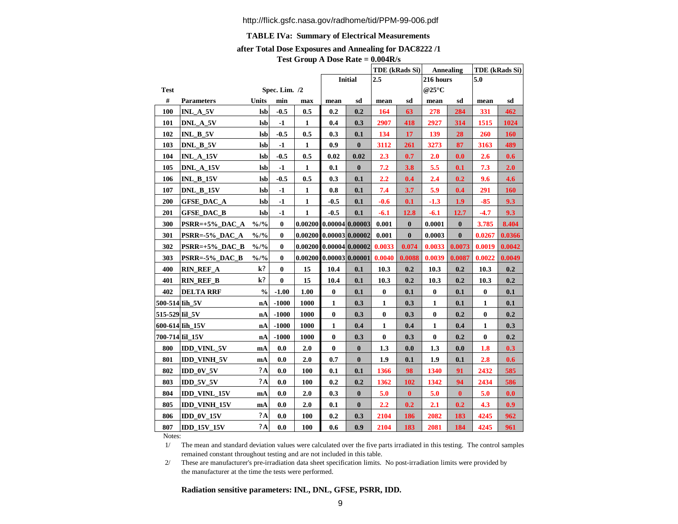### **TABLE IVa: Summary of Electrical Measurements**

#### **after Total Dose Exposures and Annealing for DAC8222 /1**

|  | Test Group A Dose Rate $= 0.004R/s$ |  |  |  |  |  |  |
|--|-------------------------------------|--|--|--|--|--|--|
|--|-------------------------------------|--|--|--|--|--|--|

|                 |                     |                           |               |                           |                           |                |          | TDE (kRads Si) |                          | Annealing | TDE (kRads Si) |        |  |
|-----------------|---------------------|---------------------------|---------------|---------------------------|---------------------------|----------------|----------|----------------|--------------------------|-----------|----------------|--------|--|
|                 |                     |                           |               |                           |                           | <b>Initial</b> | 2.5      |                | 216 hours                |           | 5.0            |        |  |
| Test            |                     |                           | Spec. Lim. /2 |                           |                           |                |          |                | @25 $\mathrm{^{\circ}C}$ |           |                |        |  |
| $\#$            | <b>Parameters</b>   | Units                     | min           | max                       | mean                      | sd             | mean     | sd             | mean                     | sd        | mean           | sd     |  |
| 100             | $INL_A_5V$          | <b>lsb</b>                | $-0.5$        | 0.5                       | 0.2                       | 0.2            | 164      | 63             | 278                      | 284       | 331            | 462    |  |
| 101             | DNL_A_5V            | <b>lsb</b>                | $-1$          | $\mathbf{1}$              | 0.4                       | 0.3            | 2907     | 418            | 2927                     | 314       | 1515           | 1024   |  |
| 102             | $INL_B_5V$          | <b>lsb</b>                | $-0.5$        | 0.5                       | 0.3                       | 0.1            | 134      | 17             | 139                      | 28        | 260            | 160    |  |
| 103             | DNL_B_5V            | <b>lsb</b>                | $-1$          | $\mathbf{1}$              | 0.9                       | $\bf{0}$       | 3112     | 261            | 3273                     | 87        | 3163           | 489    |  |
| 104             | INL_A_15V           | <b>lsb</b>                | $-0.5$        | 0.5                       | 0.02                      | 0.02           | 2.3      | 0.7            | 2.0                      | 0.0       | 2.6            | 0.6    |  |
| 105             | DNL_A_15V           | lsb                       | $-1$          | $\mathbf{1}$              | 0.1                       | $\bf{0}$       | 7.2      | 3.8            | 5.5                      | 0.1       | 7.3            | 2.0    |  |
| 106             | <b>INL B 15V</b>    | <b>lsb</b>                | $-0.5$        | 0.5                       | 0.3                       | 0.1            | 2.2      | 0.4            | 2.4                      | 0.2       | 9.6            | 4.6    |  |
| 107             | DNL_B_15V           | <b>lsb</b>                | -1            | 1                         | 0.8                       | 0.1            | 7.4      | 3.7            | 5.9                      | 0.4       | 291            | 160    |  |
| 200             | <b>GFSE DAC A</b>   | <b>lsb</b>                | $-1$          | $\mathbf{1}$              | $-0.5$                    | 0.1            | $-0.6$   | 0.1            | $-1.3$                   | 1.9       | $-85$          | 9.3    |  |
| 201             | <b>GFSE_DAC_B</b>   | <b>lsb</b>                | -1            | 1                         | $-0.5$                    | 0.1            | $-6.1$   | 12.8           | $-6.1$                   | 12.7      | $-4.7$         | 9.3    |  |
| 300             | PSRR=+5%_DAC_A      | $\frac{0}{0}/\frac{0}{0}$ | $\bf{0}$      |                           | $0.00200$ 0.00004 0.00003 |                | 0.001    | $\bf{0}$       | 0.0001                   | $\bf{0}$  | 3.785          | 8.404  |  |
| 301             | $PSRR = -5\%$ DAC_A | $\frac{9}{6}$ /%          | $\bf{0}$      | $0.00200$ 0.00003 0.00002 |                           |                | 0.001    | $\bf{0}$       | 0.0003                   | $\bf{0}$  | 0.0267         | 0.0366 |  |
| 302             | $PSRR=+5\%$ DAC_B   | $\frac{9}{0}/\frac{9}{0}$ | $\bf{0}$      | $0.00200$ 0.00004 0.00002 |                           |                | 0.0033   | 0.074          | 0.0033                   | 0.0073    | 0.0019         | 0.0042 |  |
| 303             | PSRR=-5% DAC B      | $\frac{9}{0}/\frac{9}{0}$ | $\bf{0}$      | $0.00200$ 0.00003 0.00001 |                           |                | 0.0040   | 0.0088         | 0.0039                   | 0.0087    | 0.0022         | 0.0049 |  |
| 400             | <b>RIN_REF_A</b>    | $k$ ?                     | $\bf{0}$      | 15                        | 10.4                      | 0.1            | 10.3     | 0.2            | 10.3                     | 0.2       | 10.3           | 0.2    |  |
| 401             | <b>RIN REF B</b>    | $k$ ?                     | $\bf{0}$      | 15                        | 10.4                      | 0.1            | 10.3     | 0.2            | 10.3                     | 0.2       | 10.3           | 0.2    |  |
| 402             | <b>DELTA RRF</b>    | $\frac{0}{0}$             | $-1.00$       | 1.00                      | $\bf{0}$                  | 0.1            | $\bf{0}$ | 0.1            | $\bf{0}$                 | 0.1       | $\bf{0}$       | 0.1    |  |
| 500-514 Iih 5V  |                     | nA                        | $-1000$       | 1000                      | 1                         | 0.3            | 1        | 0.3            | 1                        | 0.1       | $\mathbf{1}$   | 0.1    |  |
| 515-529 Iil 5V  |                     | nA                        | $-1000$       | 1000                      | $\bf{0}$                  | 0.3            | $\bf{0}$ | 0.3            | $\bf{0}$                 | 0.2       | $\bf{0}$       | 0.2    |  |
|                 | 600-614 Iih 15V     | nA                        | $-1000$       | 1000                      | 1                         | 0.4            | 1        | 0.4            | $\mathbf{1}$             | 0.4       | $\mathbf{1}$   | 0.3    |  |
| 700-714 Iil_15V |                     | nA                        | $-1000$       | 1000                      | $\bf{0}$                  | 0.3            | $\bf{0}$ | 0.3            | $\bf{0}$                 | 0.2       | $\bf{0}$       | 0.2    |  |
| 800             | <b>IDD_VINL_5V</b>  | mA                        | 0.0           | 2.0                       | $\bf{0}$                  | $\bf{0}$       | 1.3      | 0.0            | 1.3                      | 0.0       | 1.8            | 0.3    |  |
| 801             | <b>IDD_VINH_5V</b>  | mA                        | 0.0           | 2.0                       | 0.7                       | $\bf{0}$       | 1.9      | 0.1            | 1.9                      | 0.1       | 2.8            | 0.6    |  |
| 802             | IDD 0V 5V           | 2A                        | 0.0           | 100                       | 0.1                       | 0.1            | 1366     | 98             | 1340                     | 91        | 2432           | 585    |  |
| 803             | $IDD_5V_5V$         | 2A                        | 0.0           | <b>100</b>                | $0.2\,$                   | 0.2            | 1362     | 102            | 1342                     | 94        | 2434           | 586    |  |
| 804             | <b>IDD VINL 15V</b> | mA                        | 0.0           | 2.0                       | 0.3                       | $\bf{0}$       | 5.0      | $\mathbf{0}$   | 5.0                      | $\bf{0}$  | 5.0            | 0.0    |  |
| 805             | <b>IDD_VINH_15V</b> | mA                        | 0.0           | 2.0                       | 0.1                       | $\bf{0}$       | 2.2      | 0.2            | 2.1                      | 0.2       | 4.3            | 0.9    |  |
| 806             | $IDD_0V_15V$        | 2A                        | 0.0           | 100                       | 0.2                       | 0.3            | 2104     | 186            | 2082                     | 183       | 4245           | 962    |  |
| 807             | <b>IDD_15V_15V</b>  | 2A                        | 0.0           | 100                       | 0.6                       | 0.9            | 2104     | 183            | 2081                     | 184       | 4245           | 961    |  |
|                 |                     |                           |               |                           |                           |                |          |                |                          |           |                |        |  |

Notes:

1/ The mean and standard deviation values were calculated over the five parts irradiated in this testing. The control samples remained constant throughout testing and are not included in this table.

2/ These are manufacturer's pre-irradiation data sheet specification limits. No post-irradiation limits were provided by the manufacturer at the time the tests were performed.

### **Radiation sensitive parameters: INL, DNL, GFSE, PSRR, IDD.**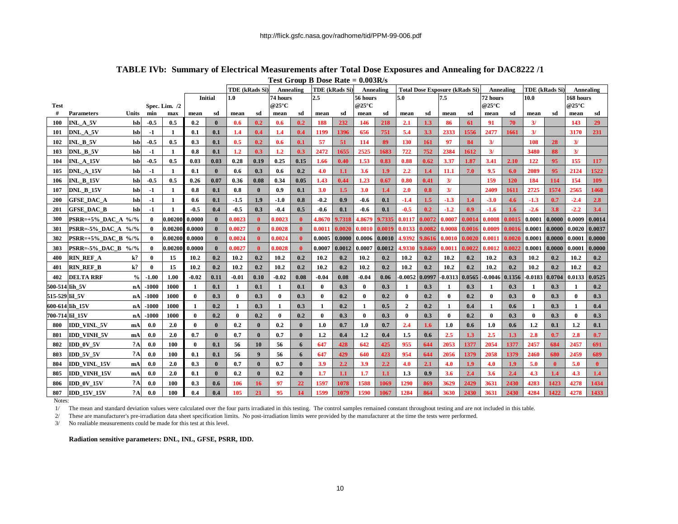|                  |                             |                   |                |               |              |                |                  | - - - - - - - -<br>TDE (kRads Si)<br>TDE (kRads Si)<br>Annealing |              |              |              |             | Annealing    | <b>Total Dose Exposure (kRads Si)</b> |                |            |              | Annealing        |              | TDE (kRads Si)    |                  | Annealing    |              |              |
|------------------|-----------------------------|-------------------|----------------|---------------|--------------|----------------|------------------|------------------------------------------------------------------|--------------|--------------|--------------|-------------|--------------|---------------------------------------|----------------|------------|--------------|------------------|--------------|-------------------|------------------|--------------|--------------|--------------|
|                  |                             |                   |                |               |              | <b>Initial</b> | 1.0              |                                                                  | 74 hours     |              | 2.5          |             | 56 hours     |                                       | 5.0            |            | 7.5          |                  | 72 hours     |                   | 10.0             |              | 168 hours    |              |
| <b>Test</b><br># | <b>Parameters</b>           | Units             |                | Spec. Lim. /2 |              |                |                  |                                                                  | @25°C        |              |              |             | @25°C        |                                       |                |            |              |                  | @25°C        |                   |                  |              | @25°C        |              |
|                  | INL A 5V                    |                   | min            | max<br>0.5    | mean<br>0.2  | sd<br>$\bf{0}$ | mean<br>0.6      | sd<br>0.2                                                        | mean         | sd<br>0.2    | mean<br>188  | sd<br>232   | mean<br>146  | sd<br>218                             | mean<br>2.1    | sd         | mean<br>-86  | sd               | mean<br>91   | sd<br>70          | mean<br>3/       | sd           | mean<br>143  | sd<br>29     |
| 100<br>101       | DNL A 5V                    | lsb<br><b>lsb</b> | $-0.5$<br>$-1$ | 1             | 0.1          | 0.1            | 1.4              | 0.4                                                              | 0.6<br>1.4   | 0.4          | 1199         | 1396        | 656          | 751                                   | 5.4            | 1.3<br>3.3 | 2333         | 61<br>1556       | 2477         | 1661              | 3/               |              | 3170         | 231          |
| 102              | INL B 5V                    | <b>lsb</b>        | $-0.5$         | 0.5           | 0.3          | 0.1            | 0.5              | 0.2                                                              | 0.6          | 0.1          | 57           | 51          | 114          | 89                                    | <b>130</b>     | 161        | 97           | 84               | 3/           |                   | 108              | 28           | 3/           |              |
| 103              | DNL B 5V                    | lsb               | $-1$           | $\mathbf{1}$  | 0.8          | 0.1            | $1.2\phantom{0}$ | 0.3                                                              | 1.2          | 0.3          | 2472         | 1655        | 2525         | 1683                                  | 722            | 752        | 2384         | 1612             | 3/           |                   | 3480             | 88           | 3/           |              |
| 104              | <b>INL_A_15V</b>            | lsb               | $-0.5$         | 0.5           | 0.03         | 0.03           | 0.28             | 0.19                                                             | 0.25         | 0.15         | 1.66         | 0.40        | 1.53         | 0.83                                  | 0.88           | 0.62       | 3.37         | 1.87             | 3.41         | 2.10              | 122              | 95           | 155          | 117          |
|                  | DNL A 15V                   |                   |                |               | 0.1          | $\mathbf{0}$   |                  | 0.3                                                              | 0.6          | 0.2          | 4.0          |             | 3.6          | 1.9 <sup>2</sup>                      | 2.2            | 1.4        | 11.1         | 7.0              | 9.5          |                   | 2089             | 95           | 2124         | 1522         |
| 105              | <b>INL B 15V</b>            | lsb<br>lsb        | -1<br>$-0.5$   | -1<br>0.5     | 0.26         | 0.07           | 0.6<br>0.36      | 0.08                                                             | 0.34         | 0.05         | 1.43         | 1.1<br>0.44 | 1.23         | 0.67                                  | 0.80           | 0.41       | 3/           |                  | 159          | 6.0<br><b>120</b> | 184              | 114          | 154          | 109          |
| 106<br>107       | <b>DNL B 15V</b>            | lsb               | $-1$           | -1            | 0.8          | 0.1            | 0.8              | $\bf{0}$                                                         | 0.9          | 0.1          | 3.0          | 1.5         | 3.0          | 1.4                                   | 2.0            | 0.8        | 3/           |                  | 2409         | 1611              | 2725             | 1574         | 2565         | 1468         |
| 200              | <b>GFSE DAC A</b>           | lsb               | -1             | 1             | 0.6          | 0.1            | $-1.5$           | 1.9                                                              | $-1.0$       | 0.8          | $-0.2$       | 0.9         | -0.6         | 0.1                                   | $-1.4$         | $1.5\,$    | $-1.3$       | 1.4              | $-3.0$       | 4.6               | $-1.3$           | 0.7          | $-2.4$       | 2.8          |
| 201              | <b>GFSE DAC B</b>           | lsb               | -1             | -1            | $-0.5$       | 0.4            | $-0.5$           | 0.3                                                              | $-0.4$       | 0.5          | $-0.6$       | 0.1         | -0.6         | 0.1                                   | $-0.5$         | 0.2        | $-1.2$       | 0.9 <sub>0</sub> | $-1.6$       | $1.6^{\circ}$     | $-2.6$           | 3.8          | $-2.2$       | 3.4          |
| 300              | <b>PSRR=+5% DAC A %/%</b>   |                   | $\bf{0}$       | 0.00200       | 0.0000       | $\mathbf{0}$   | 0.0023           | $\bf{0}$                                                         | 0.0023       |              | 4.8670       | 9.7318      | 4.8679       | 9.7335                                | 0.0117         | 0.0072     | 0.0007       | 0.0014           | 0.0008       | 0.0015            | 0.0001           | 0.0000       | 0.0009       | 0.0014       |
| 301              | $PSRR = -5\%$ DAC_A $\%$ /% |                   | 0              | 0.00200       | 0.0000       | $\mathbf{0}$   | 0.0027           | $\mathbf{0}$                                                     | 0.0028       |              | 0.001        | 0.0020      | 0.0010       | 0.0019                                | 0.0133         | 0.0082     | 0.0008       | 0.0016           | 0.0009       | 0.0016            | 0.0001           | 0.0000       | 0.0020       | 0.0037       |
| 302              | <b>PSRR=+5% DAC B %/%</b>   |                   | 0              | 0.00200       | 0.0000       | $\mathbf{0}$   | 0.0024           | $\mathbf{0}$                                                     | 0.0024       |              | 0.0005       | 0.0000      | 0.0006       | 0.0010                                | 4.9392         | 9.8616     | 0.0010       | 0.0020           | 0.0011       | 0.0020            | 0.0001           | 0.0000       | 0.0001       | 0.0000       |
| 303              | <b>PSRR=-5% DAC B %/%</b>   |                   | $\mathbf 0$    | 0.00200       | 0.0000       | $\bf{0}$       | 0.0027           | $\mathbf{0}$                                                     | 0.0028       |              | 0.0007       | 0.0012      | 0.0007       | 0.0012                                | 4.9330         | 9.8469     | 0.0011       | 0.0022           | 0.0012       | 0.0022            | 0.0001           | 0.0000       | 0.0001       | 0.0000       |
| 400              | <b>RIN REF A</b>            | k?                | 0              | 15            | 10.2         | 0.2            | 10.2             | 0.2                                                              | 10.2         | 0.2          | 10.2         | 0.2         | 10.2         | 0.2                                   | 10.2           | 0.2        | 10.2         | 0.2              | 10.2         | 0.3               | 10.2             | 0.2          | 10.2         | 0.2          |
| 401              | <b>RIN REF B</b>            | $k$ ?             | $\bf{0}$       | 15            | 10.2         | 0.2            | 10.2             | 0.2                                                              | 10.2         | 0.2          | 10.2         | 0.2         | 10.2         | 0.2                                   | 10.2           | 0.2        | 10.2         | 0.2              | 10.2         | 0.2               | 10.2             | 0.2          | 10.2         | 0.2          |
| 402              | <b>DELTA RRF</b>            | $\%$              | $-1.00$        | 1.00          | $-0.02$      | 0.11           | $-0.01$          | 0.10                                                             | $-0.02$      | 0.08         | $-0.04$      | 0.08        | $-0.04$      | 0.06                                  | $-0.0052$      | 0.0997     | $-0.0313$    | 0.0565           | $-0.0046$    | 0.1356            | $-0.0183$        | 0.0704       | 0.0133       | 0.0525       |
| 500-514          | Iih 5V                      | nA                | -1000          | 1000          | $\mathbf{1}$ | 0.1            | 1                | 0.1                                                              | 1            | 0.1          | $\bf{0}$     | 0.3         | $\bf{0}$     | 0.3                                   | $\mathbf{1}$   | 0.3        | 1            | 0.3              |              | 0.3               | $\mathbf{1}$     | 0.3          | 1            | 0.2          |
| 515-529 Iil 5V   |                             | nA                | -1000          | 1000          | $\mathbf{0}$ | 0.3            | $\mathbf{0}$     | 0.3                                                              | $\mathbf{0}$ | 0.3          | $\mathbf{0}$ | 0.2         | $\bf{0}$     | 0.2                                   | $\mathbf{0}$   | 0.2        | $\bf{0}$     | 0.2              | $\mathbf{0}$ | 0.3               | $\mathbf{0}$     | 0.3          | $\mathbf{0}$ | 0.3          |
|                  | 600-614 Iih 15V             | nA                | -1000          | 1000          |              | 0.2            | 1                | 0.3                                                              | -1           | 0.3          | $\mathbf{1}$ | 0.2         | $\mathbf{1}$ | 0.5                                   | $\overline{2}$ | 0.2        | 1            | 0.4              | 1            | 0.6               | $\mathbf{1}$     | 0.3          | 1            | 0.4          |
|                  | 700-714 Iil 15V             | nA                | -1000          | 1000          | $\theta$     | 0.2            | $\mathbf{0}$     | 0.2                                                              | $\mathbf{0}$ | 0.2          | $\mathbf{0}$ | 0.3         | $\bf{0}$     | 0.3                                   | $\mathbf{0}$   | 0.3        | $\mathbf{0}$ | 0.2              | $\bf{0}$     | 0.3               | $\mathbf{0}$     | 0.3          | $\mathbf{0}$ | 0.3          |
| 800              | <b>IDD VINL 5V</b>          | mA                | 0.0            | 2.0           | $\theta$     | $\mathbf{0}$   | 0.2              | $\mathbf{0}$                                                     | 0.2          |              | 1.0          | 0.7         | 1.0          | 0.7                                   | 2.4            | 1.6        | 1.0          | 0.6              | 1.0          | 0.6               | $1.2\phantom{0}$ | 0.1          | 1.2          | 0.1          |
| 801              | <b>IDD VINH 5V</b>          | mA                | 0.0            | 2.0           | 0.7          | $\mathbf{0}$   | 0.7              | $\mathbf{0}$                                                     | 0.7          | $\mathbf{0}$ | 1.2          | 0.4         | 1,2          | 0.4                                   | 1.5            | 0.6        | 2.5          | 1.3              | 2.5          | 1.3               | 2.8              | 0.7          | 2.8          | 0.7          |
| 802              | IDD 0V 5V                   | A                 | 0.0            | 100           | $\theta$     | 0.1            | 56               | 10                                                               | 56           | 6            | 647          | 428         | 642          | 425                                   | 955            | 644        | 2053         | 1377             | 2054         | 1377              | 2457             | 684          | 2457         | 691          |
| 803              | <b>IDD 5V 5V</b>            | 2A                | 0.0            | 100           | 0.1          | 0.1            | 56               | $\boldsymbol{9}$                                                 | 56           | 6            | 647          | 429         | 640          | 423                                   | 954            | 644        | 2056         | 1379             | 2058         | 1379              | 2460             | 680          | 2459         | 689          |
| 804              | <b>IDD VINL 15V</b>         | mA                | 0.0            | 2.0           | 0.3          | $\mathbf{0}$   | 0.7              | $\mathbf{0}$                                                     | 0.7          | $\mathbf{0}$ | 3.9          | 2.2         | 3.9          | 2.2                                   | 4.0            | 2.1        | 4.0          | 1.9              | 4.0          | 1.9 <sup>2</sup>  | 5.0              | $\mathbf{0}$ | 5.0          | $\mathbf{0}$ |
| 805              | <b>IDD VINH 15V</b>         | mA                | 0.0            | 2.0           | 0.1          | $\bf{0}$       | 0.2              | $\mathbf{0}$                                                     | 0.2          |              | 1.7          | 1.1         | 1.7          | 1.1                                   | 1.3            | 0.9        | 3.6          | 2.4              | 3.6          | 2.4               | 4.3              | 1.4          | 4.3          | 1.4          |
| 806              | <b>IDD 0V 15V</b>           | 2A                | 0.0            | 100           | 0.3          | 0.6            | 106              | 16                                                               | 97           | 22           | 1597         | 1078        | 1588         | 1069                                  | 1290           | 869        | 3629         | 2429             | 3631         | 2430              | 4283             | 1423         | 4278         | 1434         |
| 807              | <b>IDD_15V_15V</b>          | 2A                | 0.0            | 100           | 0.4          | 0.4            | 105              | 21                                                               | 95           | 14           | 1599         | 1079        | 1590         | 1067                                  | 1284           | 864        | 3630         | 2430             | 3631         | 2430              | 4284             | 1422         | 4278         | 1433         |

#### **TABLE IVb: Summary of Electrical Measurements after Total Dose Exposures and Annealing for DAC8222 /1 Test Group B Dose Rate = 0.003R/s**

Notes:

1/ The mean and standard deviation values were calculated over the four parts irradiated in this testing. The control samples remained constant throughout testing and are not included in this table.

2/ These are manufacturer's pre-irradiation data sheet specification limits. No post-irradiation limits were provided by the manufacturer at the time the tests were performed.

3/ No realiable measurements could be made for this test at this level.

**Radiation sensitive parameters: DNL, INL, GFSE, PSRR, IDD.**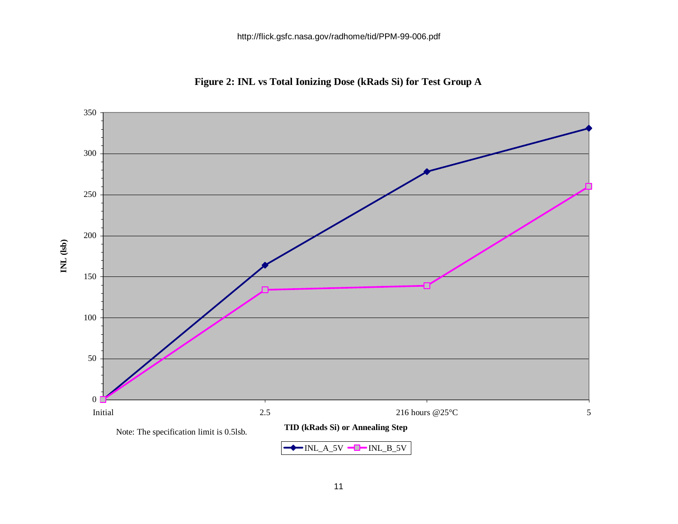

**Figure 2: INL vs Total Ionizing Dose (kRads Si) for Test Group A**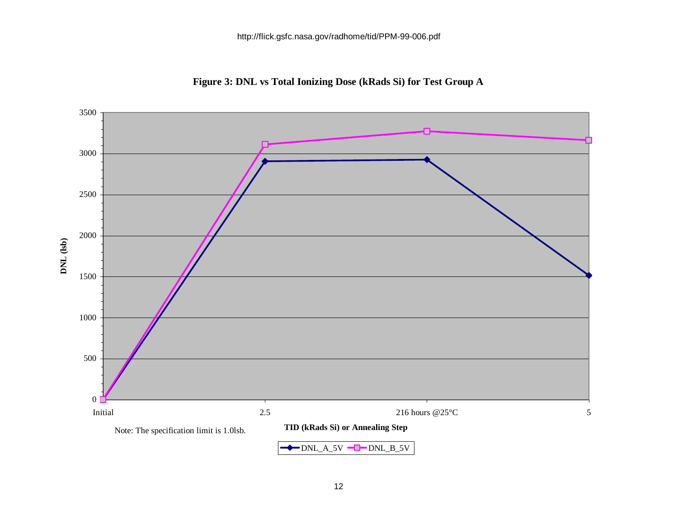

**Figure 3: DNL vs Total Ionizing Dose (kRads Si) for Test Group A**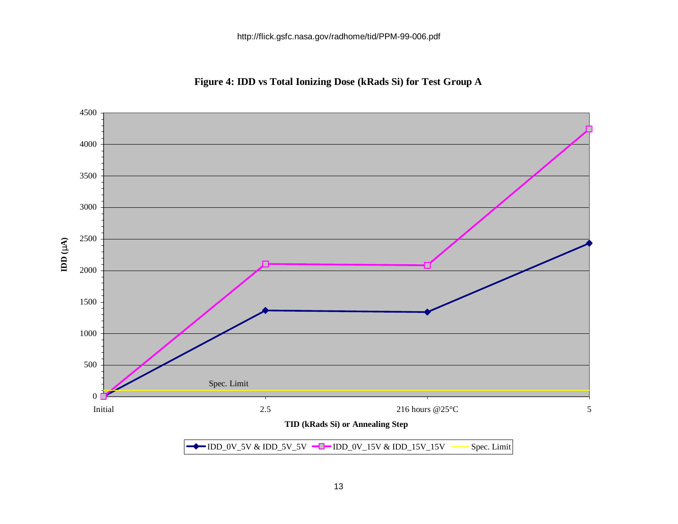

**Figure 4: IDD vs Total Ionizing Dose (kRads Si) for Test Group A**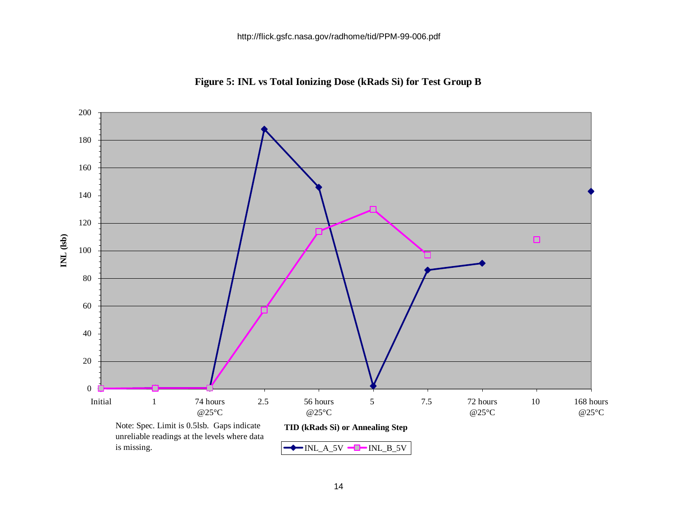

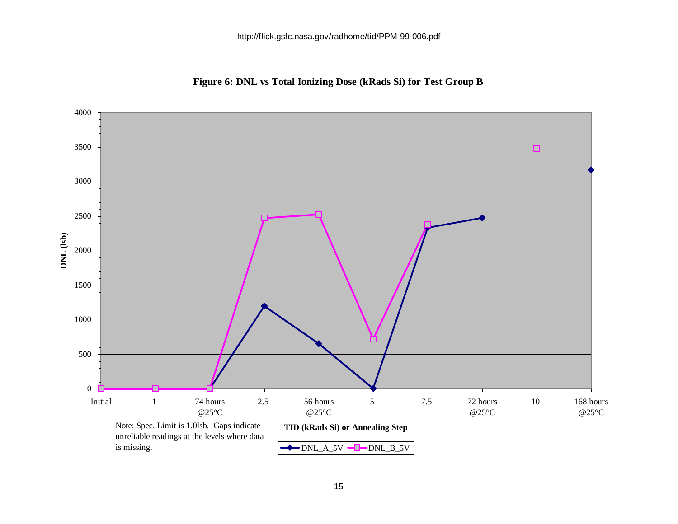